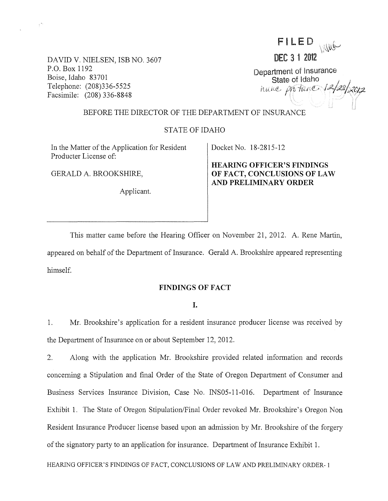FILED WUG

DEC 3 1 2012

Department of Insurance<br>State of Idaho State of Idaho I~ -""""1

# DAVID V. NIELSEN, ISB NO. 3607 P.O. Box 1192 Boise, Idaho 83701 Telephone: (208)336-5525 Facsimile: (208) 336-8848

 $\gamma^{\nu}$ 

### BEFORE THE DIRECTOR OF THE DEPARTMENT OF INSURANCE

## STATE OF IDAHO

In the Matter of the Application for Resident Producter License of:

GERALD A. BROOKSHIRE,

Applicant.

Docket No. 18-2815-12

**HEARING OFFICER'S FINDINGS OF FACT, CONCLUSIONS OF LAW AND PRELIMINARY ORDER** 

This matter came before the Hearing Officer on November 21, 2012. A. Rene Martin, appeared on behalf of the Department of Insurance. Gerald A. Brookshire appeared representing himself.

#### **FINDINGS OF FACT**

I.

1. Mr. Brookshire's application for a resident insurance producer license was received by the Department of Insurance on or about September 12, 2012.

2. Along with the application Mr. Brookshire provided related information and records conceming a Stipulation and final Order of the State of Oregon Department of Consumer and Business Services Insurance Division, Case No. INS05-11-016. Department of Insurance Exhibit 1. The State of Oregon Stipulation/Final Order revoked Mr. Brookshire's Oregon Non Resident Insurance Producer license based upon an admission by Mr. Brookshire of the forgery of the signatory party to an application for insurance. Department of Insurance Exhibit 1.

HEARING OFFICER'S FINDINGS OF FACT, CONCLUSIONS OF LAW AND PRELIMINARY ORDER- 1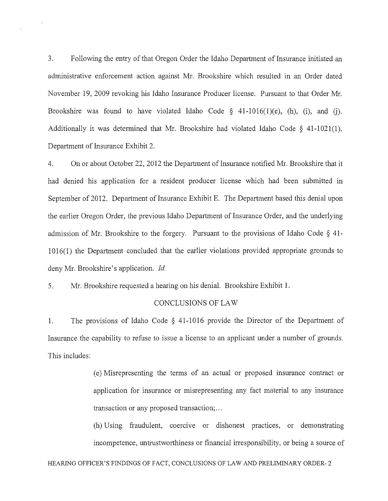3. Following the entry of that Oregon Order the Idaho Department of Insurance initiated an administrative enforcement action against Mr. Brookshire which resulted in an Order dated November 19, 2009 revoking his Idaho Insurance Producer license. Pursuant to that Order Mr. Brookshire was found to have violated Idaho Code  $\S$  41-1016(1)(e), (h), (i), and (j). Additionally it was determined that Mr. Brookshire had violated Idaho Code  $\S$  41-1021(1). Department of Insurance Exhibit 2.

4. On or about October 22, 2012 the Department of Insurance notified Mr. Brookshire that it had denied his application for a resident producer license which had been submitted in September of 2012. Department of Insurance Exhibit E. The Department based this denial upon the earlier Oregon Order, the previous Idaho Department of Insurance Order, and the underlying admission of Mr. Brookshire to the forgery. Pursuant to the provisions of Idaho Code § 41- 1016(1) the Department concluded that the earlier violations provided appropriate grounds to deny Mr. Brookshire's application. *Id.* 

5. Mr. Brookshire requested a hearing on his denial. Brookshire Exhibit 1.

#### CONCLUSIONS OF LAW

1. The provisions of Idaho Code § 41-1016 provide the Director of the Department of Insurance the capability to refuse to issue a license to an applicant under a number of grounds. This includes:

> ( e) Misrepresenting the terms of an actual or proposed insurance contract or application for insurance or misrepresenting any fact material to any insurance transaction or any proposed transaction; ...

> (h) Using fraudulent, coercive or dishonest practices, or demonstrating incompetence, untrustworthiness or financial irresponsibility, or being a source of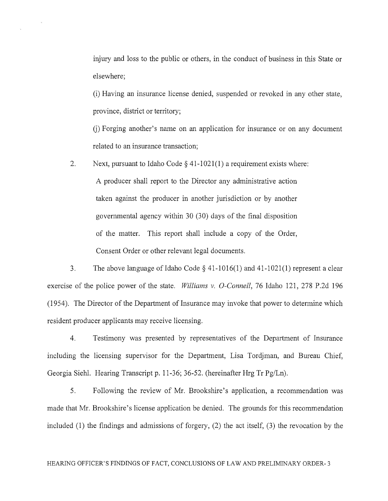injury and loss to the public or others, in the conduct of business in this State or elsewhere;

(i) Having an insurance license denied, suspended or revoked in any other state, province, district or territory;

U) Forging another's name on an application for insurance or on any document related to an insurance transaction;

2. Next, pursuant to Idaho Code  $\S$  41-1021(1) a requirement exists where: A producer shall report to the Director any administrative action taken against the producer in another jurisdiction or by another governmental agency within 30 (30) days of the final disposition of the matter. This report shall include a copy of the Order, Consent Order or other relevant legal documents.

3. The above language of Idaho Code  $\S$  41-1016(1) and 41-1021(1) represent a clear exercise of the police power of the state. *Williams* v. *O-Connell,* 76 Idaho 121, 278 P.2d 196 (1954). The Director of the Department of Insurance may invoke that power to determine which resident producer applicants may receive licensing.

4. Testimony was presented by representatives of the Department of Insurance including the licensing supervisor for the Department, Lisa Tordjman, and Bureau Chief, Georgia Siehl. Hearing Transcript p. 11-36; 36-52. (hereinafter Hrg Tr Pg/Ln).

5. Following the review of Mr. Brookshire's application, a recommendation was made that Mr. Brookshire's license application be denied. The grounds for this recommendation included (1) the findings and admissions of forgery, (2) the act itself, (3) the revocation by the

#### HEARING OFFICER'S FINDINGS OF FACT, CONCLUSIONS OF LAW AND PRELIMINARY ORDER- 3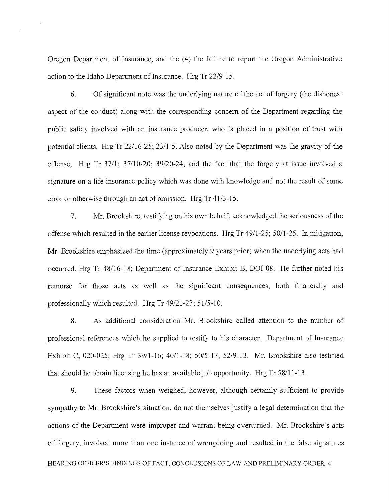Oregon Department of Insurance, and the (4) the failure to report the Oregon Administrative action to the Idaho Department of Insurance. Hrg Tr 22/9-15.

6. Of significant note was the underlying nature of the act of forgery (the dishonest aspect of the conduct) along with the corresponding concern of the Department regarding the public safety involved with an insurance producer, who is placed in a position of trust with potential clients. Hrg Tr 22/16-25; 23/1-5. Also noted by the Department was the gravity of the offense, Hrg Tr 37/1; 37/10-20; 39/20-24; and the fact that the forgery at issue involved a signature on a life insurance policy which was done with knowledge and not the result of some error or otherwise through an act of omission. Hrg Tr 41/3-15.

7. Mr. Brookshire, testifying on his own behalf, acknowledged the seriousness of the offense which resulted in the earlier license revocations. Hrg Tr 49/1-25; 50/1-25. In mitigation, Mr. Brookshire emphasized the time (approximately 9 years prior) when the underlying acts had occurred. Hrg Tr 48/16-18; Department of Insurance Exhibit B, DOl 08. He further noted his remorse for those acts as well as the significant consequences, both financially and professionally which resulted. Hrg Tr 49/21-23; 51/5-10.

8. As additional consideration Mr. Brookshire called attention to the number of professional references which he supplied to testify to his character. Department of Insurance Exhibit C, 020-025; Hrg Tr 39/1-16; 40/1-18; 50/5-17; 52/9-13. Mr. Brookshire also testified that should he obtain licensing he has an available job opportunity. Hrg  $Tr 58/11-13$ .

9. These factors when weighed, however, although certainly sufficient to provide sympathy to Mr. Brookshire's situation, do not themselves justify a legal determination that the actions of the Department were improper and warrant being overturned. Mr. Brookshire's acts of forgery, involved more than one instance of wrongdoing and resulted in the false signatures HEARING OFFICER'S FINDINGS OF FACT, CONCLUSIONS OF LAW AND PRELIMINARY ORDER- 4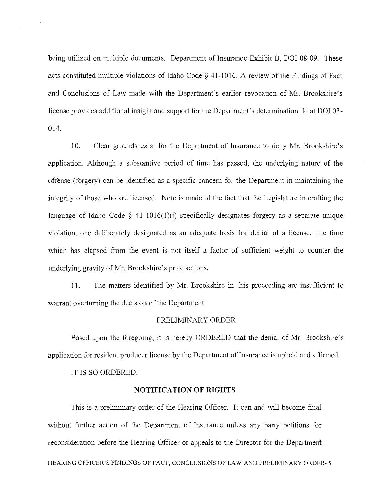being utilized on multiple documents. Department of Insurance Exhibit B, DOl 08-09. These acts constituted multiple violations of Idaho Code § 41-1016. A review of the Findings of Fact and Conclusions of Law made with the Department's earlier revocation of Mr. Brookshire's license provides additional insight and support for the Department's determination. Id at DOl 03- 014.

10. Clear grounds exist for the Department of Insurance to deny Mr. Brookshire's application. Although a substantive period of time has passed, the underlying nature of the offense (forgery) can be identified as a specific concern for the Department in maintaining the integrity of those who are licensed. Note is made of the fact that the Legislature in crafting the language of Idaho Code  $\S$  41-1016(1)(i) specifically designates forgery as a separate unique violation, one deliberately designated as an adequate basis for denial of a license. The time which has elapsed from the event is not itself a factor of sufficient weight to counter the underlying gravity of Mr. Brookshire's prior actions.

11. The matters identified by Mr. Brookshire in this proceeding are insufficient to warrant overturning the decision of the Department.

#### PRELIMINARY ORDER

Based upon the foregoing, it is hereby ORDERED that the denial of Mr. Brookshire's application for resident producer license by the Department of Insurance is upheld and affirmed.

IT IS SO ORDERED.

#### **NOTIFICATION OF RIGHTS**

This is a preliminary order of the Hearing Officer. It can and will become final without further action of the Department of Insurance unless any party petitions for reconsideration before the Hearing Officer or appeals to the Director for the Department HEARING OFFICER'S FINDINGS OF FACT, CONCLUSIONS OF LAW AND PRELIMINARY ORDER- 5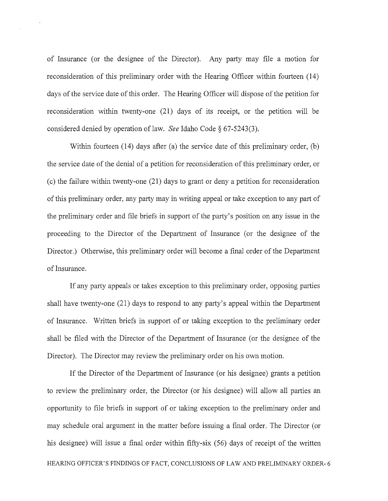of Insurance (or the designee of the Director). Any party may file a motion for reconsideration of this preliminary order with the Hearing Officer within fourteen (14) days of the service date of this order. The Hearing Officer will dispose of the petition for reconsideration within twenty-one (21) days of its receipt, or the petition will be considered denied by operation of law. *See* Idaho Code § 67-5243(3).

Within fourteen (14) days after (a) the service date of this preliminary order, (b) the service date of the denial of a petition for reconsideration of this preliminary order, or  $(c)$  the failure within twenty-one  $(21)$  days to grant or deny a petition for reconsideration of this preliminary order, any party may in writing appeal or take exception to any part of the preliminary order and file briefs in support of the party's position on any issue in the proceeding to the Director of the Department of Insurance (or the designee of the Director.) Otherwise, this preliminary order will become a final order of the Department of Insurance.

If any party appeals or takes exception to this preliminary order, opposing parties shall have twenty-one (21) days to respond to any party's appeal within the Department of Insurance. Written briefs in support of or taking exception to the preliminary order shall be filed with the Director of the Department of Insurance (or the designee of the Director). The Director may review the preliminary order on his own motion.

If the Director of the Department of Insurance (or his designee) grants a petition to review the preliminary order, the Director (or his designee) will allow all parties an opportunity to file briefs in support of or taking exception to the preliminary order and may schedule oral argument in the matter before issuing a final order. The Director (or his designee) will issue a final order within fifty-six (56) days of receipt of the written HEARING OFFICER'S FINDINGS OF FACT, CONCLUSIONS OF LAW AND PRELIMINARY ORDER- 6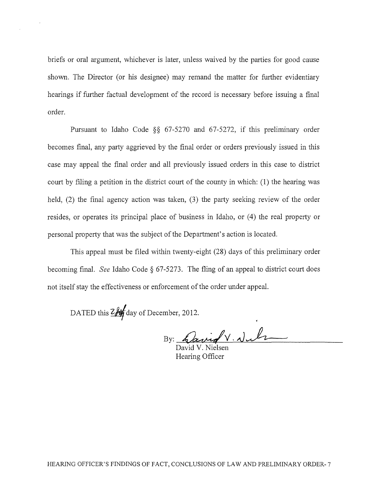briefs or oral argument, whichever is later, unless waived by the parties for good cause shown. The Director (or his designee) may remand the matter for further evidentiary hearings if further factual development of the record is necessary before issuing a final order.

Pursuant to Idaho Code §§ 67-5270 and 67-5272, if this preliminary order becomes final, any party aggrieved by the final order or orders previously issued in this case may appeal the final order and all previously issued orders in this case to district court by filing a petition in the district court of the county in which: (1) the hearing was held, (2) the final agency action was taken, (3) the party seeking review of the order resides, or operates its principal place of business in Idaho, or (4) the real property or personal property that was the subject of the Department's action is located.

This appeal must be filed within twenty-eight (28) days of this preliminary order becoming final. *See* Idaho Code § 67-5273. The fling of an appeal to district court does not itself stay the effectiveness or enforcement of the order under appeal.

DATED this ZAY day of December, 2012.

By: Cavid V. Nul

Hearing Officer